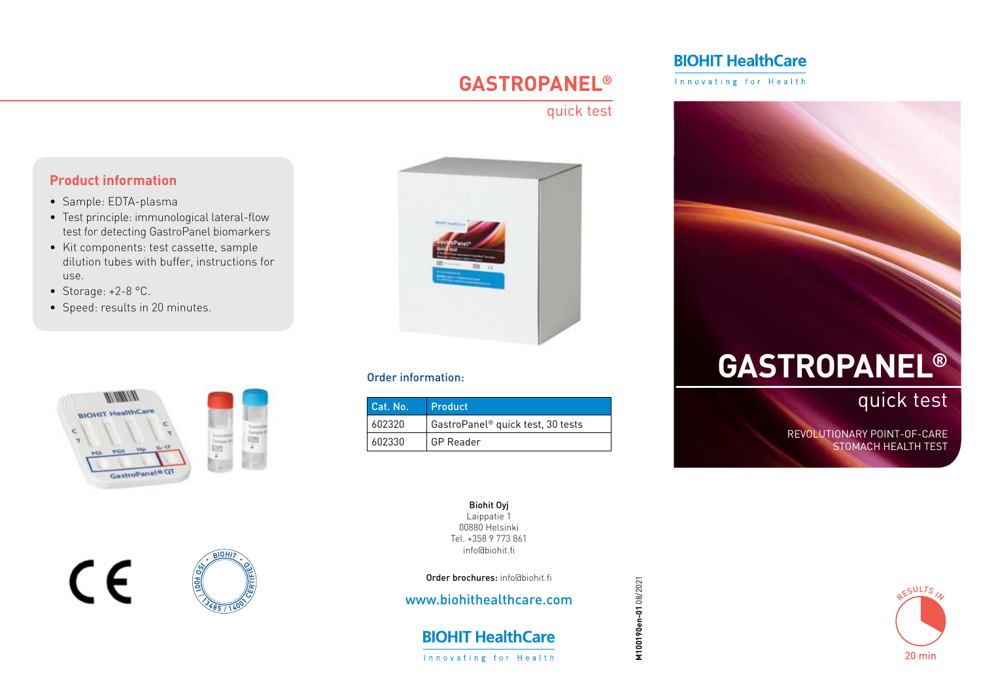### **BIOHIT HealthCare**

Innovating for Health

# **GASTROPANEL®**

# quick test

REVOLUTIONARY POINT-OF-CARE STOMACH HEALTH TEST

# **GASTROPANEL®**

# quick test



#### Order information:

| Cat. No. | <b>Product</b>                                |
|----------|-----------------------------------------------|
| 602320   | GastroPanel <sup>®</sup> quick test, 30 tests |
| 602330   | <b>GP Reader</b>                              |

Biohit Oyj Laippatie 1 00880 Helsinki Tel. +358 9 773 861 info@biohit.fi

Order brochures: info@biohit.fi

**BIOHIT HealthCare** 

Innovating for Health



# **Product information**

- Sample: EDTA-plasma
- Test principle: immunological lateral-flow test for detecting GastroPanel biomarkers
- Kit components: test cassette, sample dilution tubes with buffer, instructions for use.
- Storage: +2-8 °C.

 $\epsilon$ 

• Speed: results in 20 minutes.

|            | WWW.W<br><b>BIOHIT HealthCare</b>   |  |
|------------|-------------------------------------|--|
| <b>HEA</b> | $17 - 13$<br>PEM<br>GastroPanel® QT |  |